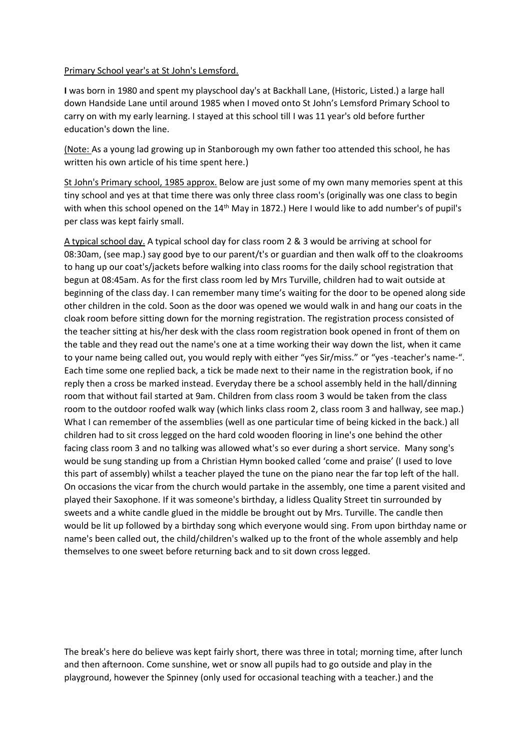## Primary School year's at St John's Lemsford.

**I** was born in 1980 and spent my playschool day's at Backhall Lane, (Historic, Listed.) a large hall down Handside Lane until around 1985 when I moved onto St John's Lemsford Primary School to carry on with my early learning. I stayed at this school till I was 11 year's old before further education's down the line.

(Note: As a young lad growing up in Stanborough my own father too attended this school, he has written his own article of his time spent here.)

St John's Primary school, 1985 approx. Below are just some of my own many memories spent at this tiny school and yes at that time there was only three class room's (originally was one class to begin with when this school opened on the 14<sup>th</sup> May in 1872.) Here I would like to add number's of pupil's per class was kept fairly small.

A typical school day. A typical school day for class room 2 & 3 would be arriving at school for 08:30am, (see map.) say good bye to our parent/t's or guardian and then walk off to the cloakrooms to hang up our coat's/jackets before walking into class rooms for the daily school registration that begun at 08:45am. As for the first class room led by Mrs Turville, children had to wait outside at beginning of the class day. I can remember many time's waiting for the door to be opened along side other children in the cold. Soon as the door was opened we would walk in and hang our coats in the cloak room before sitting down for the morning registration. The registration process consisted of the teacher sitting at his/her desk with the class room registration book opened in front of them on the table and they read out the name's one at a time working their way down the list, when it came to your name being called out, you would reply with either "yes Sir/miss." or "yes -teacher's name-". Each time some one replied back, a tick be made next to their name in the registration book, if no reply then a cross be marked instead. Everyday there be a school assembly held in the hall/dinning room that without fail started at 9am. Children from class room 3 would be taken from the class room to the outdoor roofed walk way (which links class room 2, class room 3 and hallway, see map.) What I can remember of the assemblies (well as one particular time of being kicked in the back.) all children had to sit cross legged on the hard cold wooden flooring in line's one behind the other facing class room 3 and no talking was allowed what's so ever during a short service. Many song's would be sung standing up from a Christian Hymn booked called 'come and praise' (I used to love this part of assembly) whilst a teacher played the tune on the piano near the far top left of the hall. On occasions the vicar from the church would partake in the assembly, one time a parent visited and played their Saxophone. If it was someone's birthday, a lidless Quality Street tin surrounded by sweets and a white candle glued in the middle be brought out by Mrs. Turville. The candle then would be lit up followed by a birthday song which everyone would sing. From upon birthday name or name's been called out, the child/children's walked up to the front of the whole assembly and help themselves to one sweet before returning back and to sit down cross legged.

The break's here do believe was kept fairly short, there was three in total; morning time, after lunch and then afternoon. Come sunshine, wet or snow all pupils had to go outside and play in the playground, however the Spinney (only used for occasional teaching with a teacher.) and the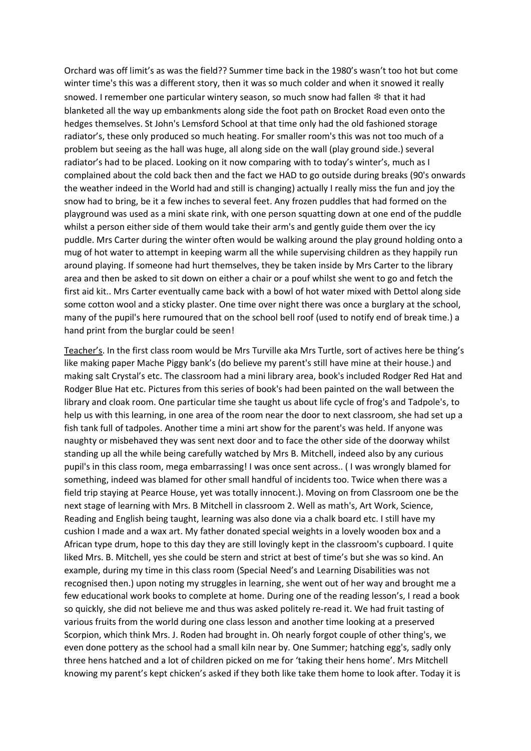Orchard was off limit's as was the field?? Summer time back in the 1980's wasn't too hot but come winter time's this was a different story, then it was so much colder and when it snowed it really snowed. I remember one particular wintery season, so much snow had fallen ❄ that it had blanketed all the way up embankments along side the foot path on Brocket Road even onto the hedges themselves. St John's Lemsford School at that time only had the old fashioned storage radiator's, these only produced so much heating. For smaller room's this was not too much of a problem but seeing as the hall was huge, all along side on the wall (play ground side.) several radiator's had to be placed. Looking on it now comparing with to today's winter's, much as I complained about the cold back then and the fact we HAD to go outside during breaks (90's onwards the weather indeed in the World had and still is changing) actually I really miss the fun and joy the snow had to bring, be it a few inches to several feet. Any frozen puddles that had formed on the playground was used as a mini skate rink, with one person squatting down at one end of the puddle whilst a person either side of them would take their arm's and gently guide them over the icy puddle. Mrs Carter during the winter often would be walking around the play ground holding onto a mug of hot water to attempt in keeping warm all the while supervising children as they happily run around playing. If someone had hurt themselves, they be taken inside by Mrs Carter to the library area and then be asked to sit down on either a chair or a pouf whilst she went to go and fetch the first aid kit.. Mrs Carter eventually came back with a bowl of hot water mixed with Dettol along side some cotton wool and a sticky plaster. One time over night there was once a burglary at the school, many of the pupil's here rumoured that on the school bell roof (used to notify end of break time.) a hand print from the burglar could be seen!

Teacher's. In the first class room would be Mrs Turville aka Mrs Turtle, sort of actives here be thing's like making paper Mache Piggy bank's (do believe my parent's still have mine at their house.) and making salt Crystal's etc. The classroom had a mini library area, book's included Rodger Red Hat and Rodger Blue Hat etc. Pictures from this series of book's had been painted on the wall between the library and cloak room. One particular time she taught us about life cycle of frog's and Tadpole's, to help us with this learning, in one area of the room near the door to next classroom, she had set up a fish tank full of tadpoles. Another time a mini art show for the parent's was held. If anyone was naughty or misbehaved they was sent next door and to face the other side of the doorway whilst standing up all the while being carefully watched by Mrs B. Mitchell, indeed also by any curious pupil's in this class room, mega embarrassing! I was once sent across.. ( I was wrongly blamed for something, indeed was blamed for other small handful of incidents too. Twice when there was a field trip staying at Pearce House, yet was totally innocent.). Moving on from Classroom one be the next stage of learning with Mrs. B Mitchell in classroom 2. Well as math's, Art Work, Science, Reading and English being taught, learning was also done via a chalk board etc. I still have my cushion I made and a wax art. My father donated special weights in a lovely wooden box and a African type drum, hope to this day they are still lovingly kept in the classroom's cupboard. I quite liked Mrs. B. Mitchell, yes she could be stern and strict at best of time's but she was so kind. An example, during my time in this class room (Special Need's and Learning Disabilities was not recognised then.) upon noting my struggles in learning, she went out of her way and brought me a few educational work books to complete at home. During one of the reading lesson's, I read a book so quickly, she did not believe me and thus was asked politely re-read it. We had fruit tasting of various fruits from the world during one class lesson and another time looking at a preserved Scorpion, which think Mrs. J. Roden had brought in. Oh nearly forgot couple of other thing's, we even done pottery as the school had a small kiln near by. One Summer; hatching egg's, sadly only three hens hatched and a lot of children picked on me for 'taking their hens home'. Mrs Mitchell knowing my parent's kept chicken's asked if they both like take them home to look after. Today it is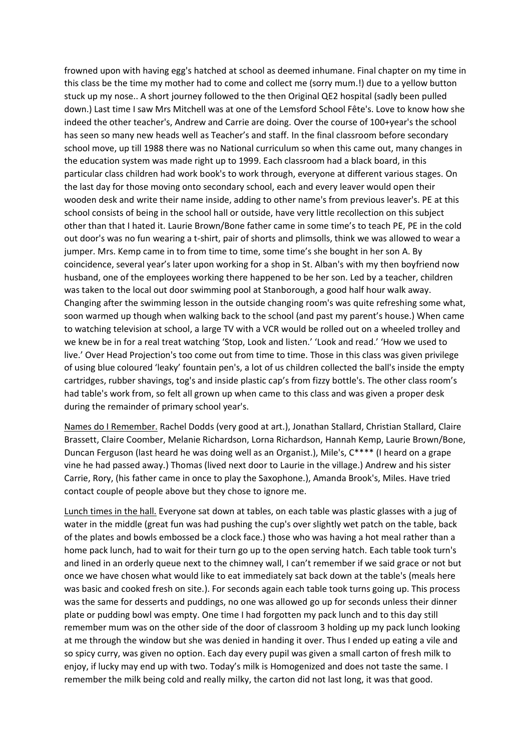frowned upon with having egg's hatched at school as deemed inhumane. Final chapter on my time in this class be the time my mother had to come and collect me (sorry mum.!) due to a yellow button stuck up my nose.. A short journey followed to the then Original QE2 hospital (sadly been pulled down.) Last time I saw Mrs Mitchell was at one of the Lemsford School Fête's. Love to know how she indeed the other teacher's, Andrew and Carrie are doing. Over the course of 100+year's the school has seen so many new heads well as Teacher's and staff. In the final classroom before secondary school move, up till 1988 there was no National curriculum so when this came out, many changes in the education system was made right up to 1999. Each classroom had a black board, in this particular class children had work book's to work through, everyone at different various stages. On the last day for those moving onto secondary school, each and every leaver would open their wooden desk and write their name inside, adding to other name's from previous leaver's. PE at this school consists of being in the school hall or outside, have very little recollection on this subject other than that I hated it. Laurie Brown/Bone father came in some time's to teach PE, PE in the cold out door's was no fun wearing a t-shirt, pair of shorts and plimsolls, think we was allowed to wear a jumper. Mrs. Kemp came in to from time to time, some time's she bought in her son A. By coincidence, several year's later upon working for a shop in St. Alban's with my then boyfriend now husband, one of the employees working there happened to be her son. Led by a teacher, children was taken to the local out door swimming pool at Stanborough, a good half hour walk away. Changing after the swimming lesson in the outside changing room's was quite refreshing some what, soon warmed up though when walking back to the school (and past my parent's house.) When came to watching television at school, a large TV with a VCR would be rolled out on a wheeled trolley and we knew be in for a real treat watching 'Stop, Look and listen.' 'Look and read.' 'How we used to live.' Over Head Projection's too come out from time to time. Those in this class was given privilege of using blue coloured 'leaky' fountain pen's, a lot of us children collected the ball's inside the empty cartridges, rubber shavings, tog's and inside plastic cap's from fizzy bottle's. The other class room's had table's work from, so felt all grown up when came to this class and was given a proper desk during the remainder of primary school year's.

Names do I Remember. Rachel Dodds (very good at art.), Jonathan Stallard, Christian Stallard, Claire Brassett, Claire Coomber, Melanie Richardson, Lorna Richardson, Hannah Kemp, Laurie Brown/Bone, Duncan Ferguson (last heard he was doing well as an Organist.), Mile's, C\*\*\*\* (I heard on a grape vine he had passed away.) Thomas (lived next door to Laurie in the village.) Andrew and his sister Carrie, Rory, (his father came in once to play the Saxophone.), Amanda Brook's, Miles. Have tried contact couple of people above but they chose to ignore me.

Lunch times in the hall. Everyone sat down at tables, on each table was plastic glasses with a jug of water in the middle (great fun was had pushing the cup's over slightly wet patch on the table, back of the plates and bowls embossed be a clock face.) those who was having a hot meal rather than a home pack lunch, had to wait for their turn go up to the open serving hatch. Each table took turn's and lined in an orderly queue next to the chimney wall, I can't remember if we said grace or not but once we have chosen what would like to eat immediately sat back down at the table's (meals here was basic and cooked fresh on site.). For seconds again each table took turns going up. This process was the same for desserts and puddings, no one was allowed go up for seconds unless their dinner plate or pudding bowl was empty. One time I had forgotten my pack lunch and to this day still remember mum was on the other side of the door of classroom 3 holding up my pack lunch looking at me through the window but she was denied in handing it over. Thus I ended up eating a vile and so spicy curry, was given no option. Each day every pupil was given a small carton of fresh milk to enjoy, if lucky may end up with two. Today's milk is Homogenized and does not taste the same. I remember the milk being cold and really milky, the carton did not last long, it was that good.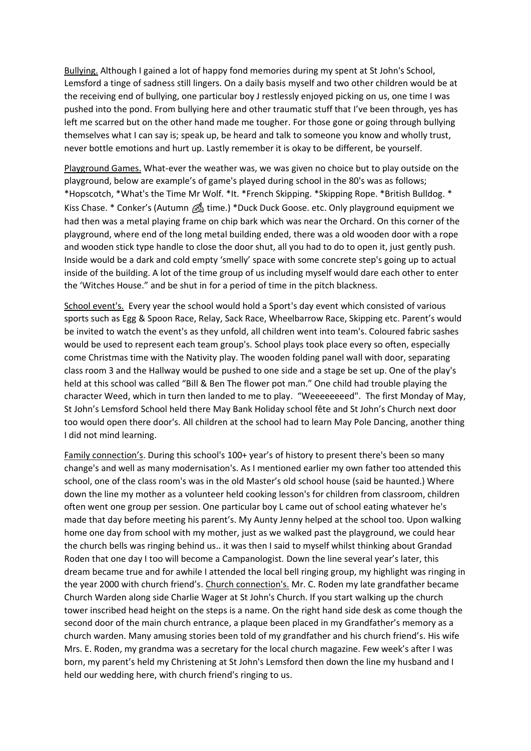Bullying. Although I gained a lot of happy fond memories during my spent at St John's School, Lemsford a tinge of sadness still lingers. On a daily basis myself and two other children would be at the receiving end of bullying, one particular boy J restlessly enjoyed picking on us, one time I was pushed into the pond. From bullying here and other traumatic stuff that I've been through, yes has left me scarred but on the other hand made me tougher. For those gone or going through bullying themselves what I can say is; speak up, be heard and talk to someone you know and wholly trust, never bottle emotions and hurt up. Lastly remember it is okay to be different, be yourself.

Playground Games. What-ever the weather was, we was given no choice but to play outside on the playground, below are example's of game's played during school in the 80's was as follows; \*Hopscotch, \*What's the Time Mr Wolf. \*It. \*French Skipping. \*Skipping Rope. \*British Bulldog. \* Kiss Chase. \* Conker's (Autumn  $\mathcal{B}_\text{ab}$  time.) \*Duck Duck Goose. etc. Only playground equipment we had then was a metal playing frame on chip bark which was near the Orchard. On this corner of the playground, where end of the long metal building ended, there was a old wooden door with a rope and wooden stick type handle to close the door shut, all you had to do to open it, just gently push. Inside would be a dark and cold empty 'smelly' space with some concrete step's going up to actual inside of the building. A lot of the time group of us including myself would dare each other to enter the 'Witches House." and be shut in for a period of time in the pitch blackness.

School event's. Every year the school would hold a Sport's day event which consisted of various sports such as Egg & Spoon Race, Relay, Sack Race, Wheelbarrow Race, Skipping etc. Parent's would be invited to watch the event's as they unfold, all children went into team's. Coloured fabric sashes would be used to represent each team group's. School plays took place every so often, especially come Christmas time with the Nativity play. The wooden folding panel wall with door, separating class room 3 and the Hallway would be pushed to one side and a stage be set up. One of the play's held at this school was called "Bill & Ben The flower pot man." One child had trouble playing the character Weed, which in turn then landed to me to play. "Weeeeeeeed". The first Monday of May, St John's Lemsford School held there May Bank Holiday school fête and St John's Church next door too would open there door's. All children at the school had to learn May Pole Dancing, another thing I did not mind learning.

Family connection's. During this school's 100+ year's of history to present there's been so many change's and well as many modernisation's. As I mentioned earlier my own father too attended this school, one of the class room's was in the old Master's old school house (said be haunted.) Where down the line my mother as a volunteer held cooking lesson's for children from classroom, children often went one group per session. One particular boy L came out of school eating whatever he's made that day before meeting his parent's. My Aunty Jenny helped at the school too. Upon walking home one day from school with my mother, just as we walked past the playground, we could hear the church bells was ringing behind us.. it was then I said to myself whilst thinking about Grandad Roden that one day I too will become a Campanologist. Down the line several year's later, this dream became true and for awhile I attended the local bell ringing group, my highlight was ringing in the year 2000 with church friend's. Church connection's. Mr. C. Roden my late grandfather became Church Warden along side Charlie Wager at St John's Church. If you start walking up the church tower inscribed head height on the steps is a name. On the right hand side desk as come though the second door of the main church entrance, a plaque been placed in my Grandfather's memory as a church warden. Many amusing stories been told of my grandfather and his church friend's. His wife Mrs. E. Roden, my grandma was a secretary for the local church magazine. Few week's after I was born, my parent's held my Christening at St John's Lemsford then down the line my husband and I held our wedding here, with church friend's ringing to us.